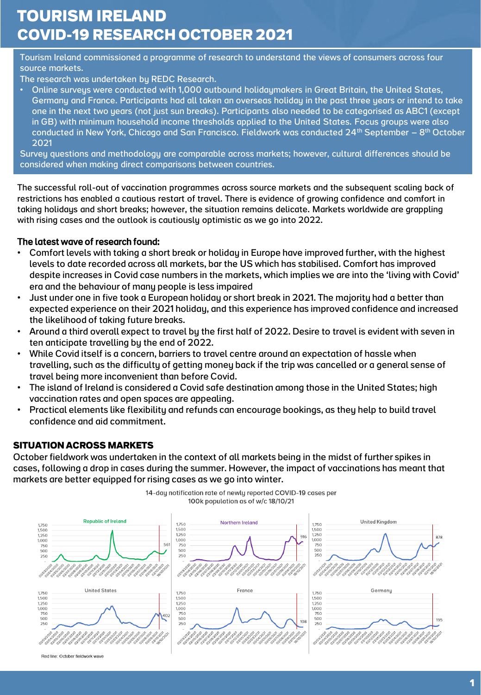# **TOURISM IRELAND COVID-19 RESEARCH OCTOBER 2021**

Tourism Ireland commissioned a programme of research to understand the views of consumers across four source markets.

The research was undertaken by REDC Research.

• Online surveys were conducted with 1,000 outbound holidaymakers in Great Britain, the United States, Germany and France. Participants had all taken an overseas holiday in the past three years or intend to take one in the next two years (not just sun breaks). Participants also needed to be categorised as ABC1 (except in GB) with minimum household income thresholds applied to the United States. Focus groups were also conducted in New York, Chicago and San Francisco. Fieldwork was conducted 24<sup>th</sup> September – 8<sup>th</sup> October 2021

Survey questions and methodology are comparable across markets; however, cultural differences should be considered when making direct comparisons between countries.

The successful roll-out of vaccination programmes across source markets and the subsequent scaling back of restrictions has enabled a cautious restart of travel. There is evidence of growing confidence and comfort in taking holidays and short breaks; however, the situation remains delicate. Markets worldwide are grappling with rising cases and the outlook is cautiously optimistic as we go into 2022.

#### The latest wave of research found:

- Comfort levels with taking a short break or holiday in Europe have improved further, with the highest levels to date recorded across all markets, bar the US which has stabilised. Comfort has improved despite increases in Covid case numbers in the markets, which implies we are into the 'living with Covid' era and the behaviour of many people is less impaired
- Just under one in five took a European holiday or short break in 2021. The majority had a better than expected experience on their 2021 holiday, and this experience has improved confidence and increased the likelihood of taking future breaks.
- Around a third overall expect to travel by the first half of 2022. Desire to travel is evident with seven in ten anticipate travelling by the end of 2022.
- While Covid itself is a concern, barriers to travel centre around an expectation of hassle when travelling, such as the difficulty of getting money back if the trip was cancelled or a general sense of travel being more inconvenient than before Covid.
- The island of Ireland is considered a Covid safe destination among those in the United States; high vaccination rates and open spaces are appealing.
- Practical elements like flexibility and refunds can encourage bookings, as they help to build travel confidence and aid commitment.

#### **SITUATION ACROSS MARKETS**

October fieldwork was undertaken in the context of all markets being in the midst of further spikes in cases, following a drop in cases during the summer. However, the impact of vaccinations has meant that markets are better equipped for rising cases as we go into winter.



14-day notification rate of newly reported COVID-19 cases per 100k population as of w/c 18/10/21

Red line: October fieldwork wave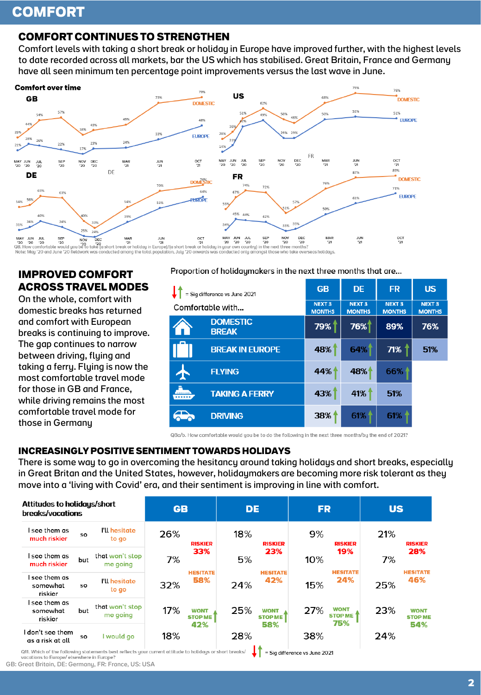# **COMFORT**

# **COMFORT CONTINUES TO STRENGTHEN**

Comfort levels with taking a short break or holiday in Europe have improved further, with the highest levels to date recorded across all markets, bar the US which has stabilised. Great Britain, France and Germany have all seen minimum ten percentage point improvements versus the last wave in June.



### **IMPROVED COMFORT ACROSS TRAVEL MODES**

On the whole, comfort with domestic breaks has returned and comfort with European breaks is continuing to improve. The gap continues to narrow between driving, flying and taking a ferry. Flying is now the most comfortable travel mode for those in GB and France, while driving remains the most comfortable travel mode for those in Germany

Proportion of holiday makers in the next three months that are...

| = Sig difference vs June 2021   | <b>GB</b>                      | <b>DE</b>                                | <b>FR</b>                                | <b>US</b>                                |
|---------------------------------|--------------------------------|------------------------------------------|------------------------------------------|------------------------------------------|
| Comfortable with                | <b>NEXT 3</b><br><b>MONTHS</b> | <b>NEXT<sub>3</sub></b><br><b>MONTHS</b> | <b>NEXT<sub>3</sub></b><br><b>MONTHS</b> | <b>NEXT<sub>3</sub></b><br><b>MONTHS</b> |
| <b>DOMESTIC</b><br><b>BREAK</b> | 79%                            | 76%                                      | 89%                                      | 76%                                      |
| <b>BREAK IN EUROPE</b>          | 48%                            | 64%                                      | 71%                                      | 51%                                      |
| <b>FLYING</b>                   | 44%                            | 48%                                      | 66%                                      |                                          |
| <b>TAKING A FERRY</b><br>.      | 43%                            | 41%                                      | 51%                                      |                                          |
| <b>DRIVING</b>                  | 38%                            | 61%                                      | 61%                                      |                                          |

Q8a/b. How comfortable would you be to do the following in the next three months/by the end of 2021?

#### **INCREASINGLY POSITIVE SENTIMENT TOWARDS HOLIDAYS**

There is some way to go in overcoming the hesitancy around taking holidays and short breaks, especially in Great Britan and the United States, however, holidaymakers are becoming more risk tolerant as they move into a 'living with Covid' era, and their sentiment is improving in line with comfort.

| Attitudes to holidays/short<br>breaks/vacations                                                                                                |     | <b>GB</b>                     |     | <b>DE</b>                     |     | <b>FR</b>                     |                                         | <b>US</b>                            |     |                               |
|------------------------------------------------------------------------------------------------------------------------------------------------|-----|-------------------------------|-----|-------------------------------|-----|-------------------------------|-----------------------------------------|--------------------------------------|-----|-------------------------------|
| I see them as<br>much riskier                                                                                                                  | SO  | <b>I'll hesitate</b><br>to go | 26% | <b>RISKIER</b>                | 18% | <b>RISKIER</b>                | 9%                                      | <b>RISKIER</b>                       | 21% | <b>RISKIER</b>                |
| I see them as<br>much riskier                                                                                                                  | but | that won't stop<br>me going   | 7%  | 33%                           | 5%  | 23%                           | 10%                                     | 19%                                  | 7%  | 28%                           |
| l see them as<br>somewhat<br>riskier                                                                                                           | SO  | I'll hesitate<br>to go        | 32% | <b>HESITATE</b><br>58%        | 24% | <b>HESITATE</b><br>42%        | 15%                                     | <b>HESITATE</b><br>24%               | 25% | <b>HESITATE</b><br>46%        |
| l see them as<br>somewhat<br>riskier                                                                                                           | but | that won't stop<br>me going   | 17% | <b>WONT</b><br><b>STOP ME</b> | 25% | <b>WONT</b><br><b>STOP ME</b> | 27%                                     | <b>WONT</b><br><b>STOP ME</b><br>75% | 23% | <b>WONT</b><br><b>STOP ME</b> |
| l don't see them<br>as a risk at all<br>Off Which of the following statements hest reflects your current attitude to bolidays or short breaks/ | SO  | I would go                    | 18% | 42%                           | 28% | 58%                           | 38%<br>$=$ Cia difference vs. June 2021 |                                      | 24% | 54%                           |

= Sig difference vs June 2021 vacations to Europe/ elsewhere in Europe?

GB: Great Britain, DE: Germany, FR: France, US: USA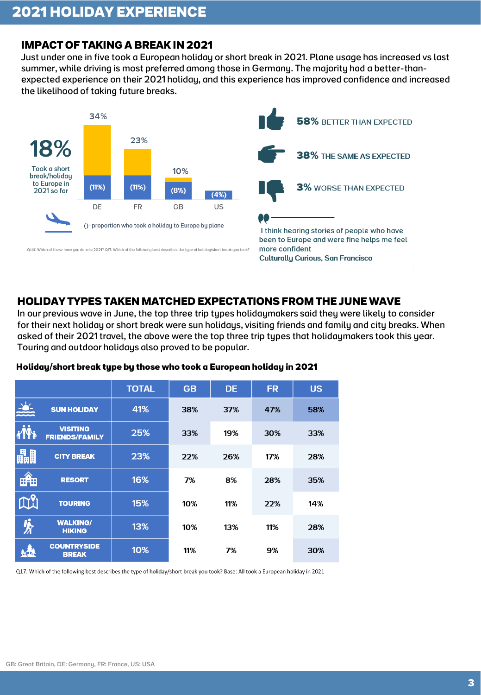# **IMPACT OF TAKING A BREAK IN 2021**

Just under one in five took a European holiday or short break in 2021. Plane usage has increased vs last summer, while driving is most preferred among those in Germany. The majority had a better-thanexpected experience on their 2021 holiday, and this experience has improved confidence and increased the likelihood of taking future breaks.



### **HOLIDAY TYPES TAKEN MATCHED EXPECTATIONS FROM THE JUNE WAVE**

In our previous wave in June, the top three trip types holidaymakers said they were likely to consider for their next holiday or short break were sun holidays, visiting friends and family and city breaks. When asked of their 2021 travel, the above were the top three trip types that holidaymakers took this year. Touring and outdoor holidays also proved to be popular.

|               |                                          | <b>TOTAL</b> | <b>GB</b> | <b>DE</b> | <b>FR</b> | <b>US</b> |
|---------------|------------------------------------------|--------------|-----------|-----------|-----------|-----------|
| $\frac{1}{2}$ | <b>SUN HOLIDAY</b>                       | 41%          | 38%       | 37%       | 47%       | 58%       |
| im            | <b>VISITING</b><br><b>FRIENDS/FAMILY</b> | 25%          | 33%       | 19%       | 30%       | 33%       |
| 畾             | <b>CITY BREAK</b>                        | 23%          | 22%       | 26%       | 17%       | 28%       |
| 快             | <b>RESORT</b>                            | 16%          | 7%        | 8%        | 28%       | 35%       |
| <b>AY</b>     | <b>TOURING</b>                           | 15%          | 10%       | 11%       | 22%       | 14%       |
| 家             | <b>WALKING/</b><br><b>HIKING</b>         | 13%          | 10%       | 13%       | 11%       | 28%       |
|               | <b>COUNTRYSIDE</b><br><b>BREAK</b>       | 10%          | 11%       | 7%        | 9%        | 30%       |

#### Holiday/short break type by those who took a European holiday in 2021

Q17. Which of the following best describes the type of holiday/short break you took? Base: All took a European holiday in 2021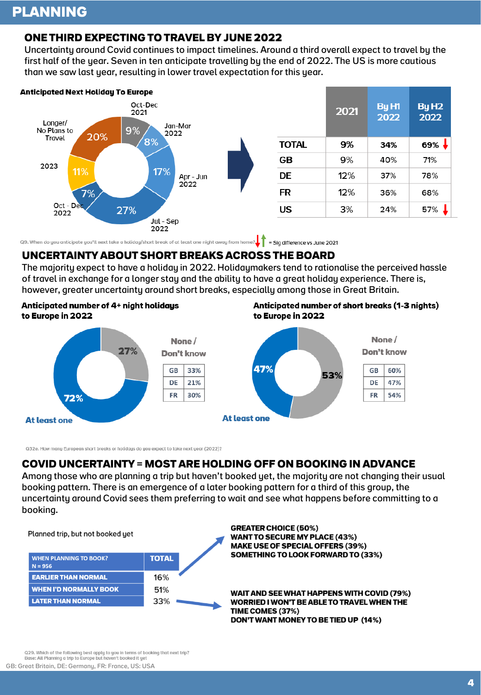# **PLANNING**

#### **ONE THIRD EXPECTING TO TRAVEL BY JUNE 2022**

Uncertainty around Covid continues to impact timelines. Around a third overall expect to travel by the first half of the year. Seven in ten anticipate travelling by the end of 2022. The US is more cautious than we saw last year, resulting in lower travel expectation for this year.



Q9. When do you anticipate you'll next take a holiday/short break of at least one night away from home?  $\int_{\cdot}$  = Sig difference vs June 2021

#### **UNCERTAINTY ABOUT SHORT BREAKS ACROSS THE BOARD**

The majority expect to have a holiday in 2022. Holidaymakers tend to rationalise the perceived hassle of travel in exchange for a longer stay and the ability to have a great holiday experience. There is, however, greater uncertainty around short breaks, especially among those in Great Britain.

#### Anticipated number of 4+ night holidays to Europe in 2022

Anticipated number of short breaks (1-3 nights) to Europe in 2022



Q32e. How many European short breaks or holidays do you expect to take next year (2022)?

#### **COVID UNCERTAINTY = MOST ARE HOLDING OFF ON BOOKING IN ADVANCE**

Among those who are planning a trip but haven't booked yet, the majority are not changing their usual booking pattern. There is an emergence of a later booking pattern for a third of this group, the uncertainty around Covid sees them preferring to wait and see what happens before committing to a booking.



**GREATER CHOICE (50%) WANT TO SECURE MY PLACE (43%) MAKE USE OF SPECIAL OFFERS (39%)** SOMETHING TO LOOK FORWARD TO (33%)

WAIT AND SEE WHAT HAPPENS WITH COVID (79%) WORRIED I WON'T BE ABLE TO TRAVEL WHEN THE **TIME COMES (37%)** DON'T WANT MONEY TO BE TIED UP (14%)

Q29. Which of the following best apply to you in terms of booking that next trip?<br>Base: All Planning a trip to Europe but haven't booked it yet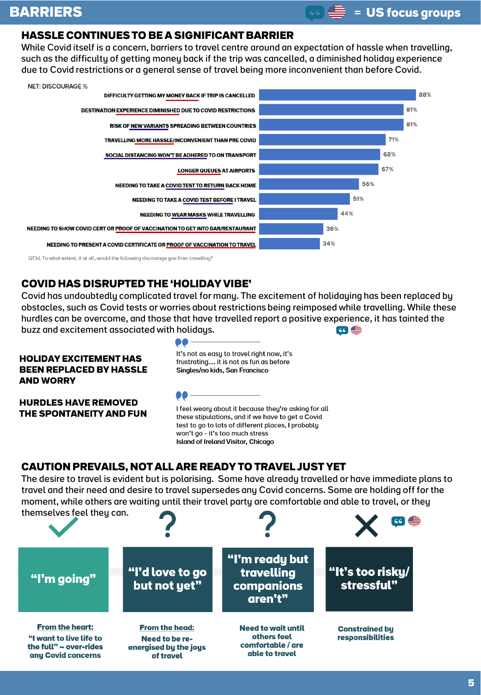# **HASSLE CONTINUES TO BE A SIGNIFICANT BARRIER**

While Covid itself is a concern, barriers to travel centre around an expectation of hassle when travelling, such as the difficulty of getting money back if the trip was cancelled, a diminished holiday experience due to Covid restrictions or a general sense of travel being more inconvenient than before Covid.



# **COVID HAS DISRUPTED THE 'HOLIDAY VIBE'**

Covid has undoubtedly complicated travel for many. The excitement of holidaying has been replaced by obstacles, such as Covid tests or worries about restrictions being reimposed while travelling. While these hurdles can be overcome, and those that have travelled report a positive experience, it has tainted the buzz and excitement associated with holidays.  $\omega \equiv$ 

#### **HOLIDAY EXCITEMENT HAS BEEN REPLACED BY HASSLE AND WORRY**

It's not as easy to travel right now, it's frustrating.... it is not as fun as before Singles/no kids, San Francisco

**HURDLES HAVE REMOVED** THE SPONTANEITY AND FUN



I feel weary about it because they're asking for all these stipulations, and if we have to get a Covid test to go to lots of different places, I probably won't go - it's too much stress **Island of Ireland Visitor, Chicago** 

# **CAUTION PREVAILS, NOT ALL ARE READY TO TRAVEL JUST YET**

The desire to travel is evident but is polarising. Some have already travelled or have immediate plans to travel and their need and desire to travel supersedes any Covid concerns. Some are holding off for the moment, while others are waiting until their travel party are comfortable and able to travel, or they themselves feel they can.